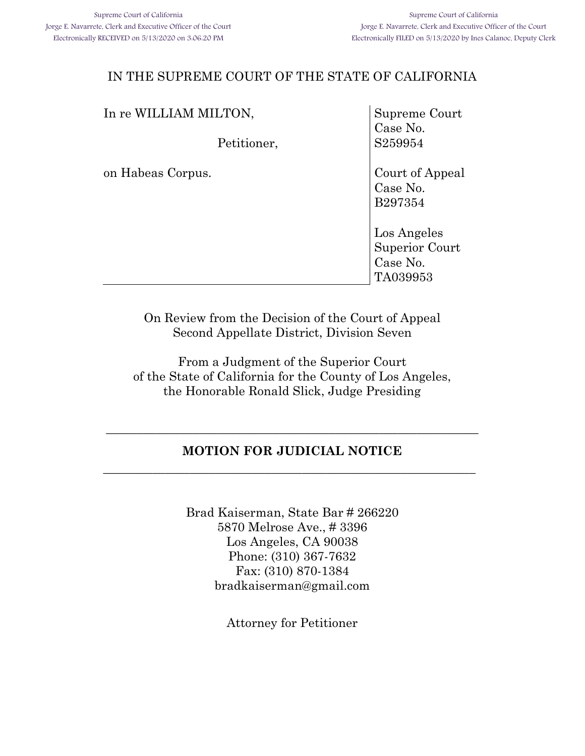| Supreme Court                                         |
|-------------------------------------------------------|
| Case No.<br>S259954                                   |
| Court of Appeal<br>Case No.<br>B297354                |
| Los Angeles<br>Superior Court<br>Case No.<br>TA039953 |
|                                                       |

On Review from the Decision of the Court of Appeal Second Appellate District, Division Seven

From a Judgment of the Superior Court of the State of California for the County of Los Angeles, the Honorable Ronald Slick, Judge Presiding

# **MOTION FOR JUDICIAL NOTICE \_\_\_\_\_\_\_\_\_\_\_\_\_\_\_\_\_\_\_\_\_\_\_\_\_\_\_\_\_\_\_\_\_\_\_\_\_\_\_\_\_\_\_\_\_\_\_\_\_\_\_\_\_\_\_\_\_\_\_\_**

**\_\_\_\_\_\_\_\_\_\_\_\_\_\_\_\_\_\_\_\_\_\_\_\_\_\_\_\_\_\_\_\_\_\_\_\_\_\_\_\_\_\_\_\_\_\_\_\_\_\_\_\_\_\_\_\_\_\_\_\_**

Brad Kaiserman, State Bar # 266220 5870 Melrose Ave., # 3396 Los Angeles, CA 90038 Phone: (310) 367-7632 Fax: (310) 870-1384 bradkaiserman@gmail.com

Attorney for Petitioner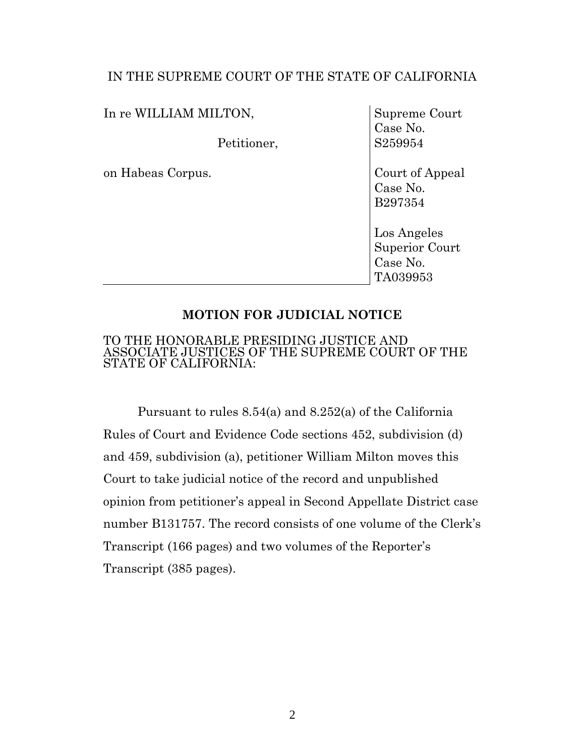In re WILLIAM MILTON, Petitioner, on Habeas Corpus. Supreme Court Case No. S259954 Court of Appeal Case No. B297354

> Los Angeles Superior Court Case No. TA039953

## **MOTION FOR JUDICIAL NOTICE**

### TO THE HONORABLE PRESIDING JUSTICE AND ASSOCIATE JUSTICES OF THE SUPREME COURT OF THE STATE OF CALIFORNIA:

Pursuant to rules 8.54(a) and 8.252(a) of the California Rules of Court and Evidence Code sections 452, subdivision (d) and 459, subdivision (a), petitioner William Milton moves this Court to take judicial notice of the record and unpublished opinion from petitioner's appeal in Second Appellate District case number B131757. The record consists of one volume of the Clerk's Transcript (166 pages) and two volumes of the Reporter's Transcript (385 pages).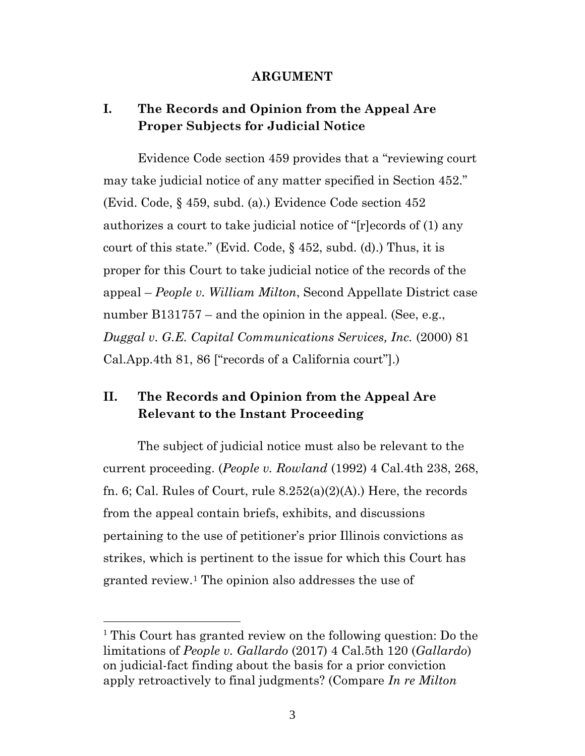### **ARGUMENT**

# **I. The Records and Opinion from the Appeal Are Proper Subjects for Judicial Notice**

Evidence Code section 459 provides that a "reviewing court" may take judicial notice of any matter specified in Section 452." (Evid. Code, § 459, subd. (a).) Evidence Code section 452 authorizes a court to take judicial notice of "[r]ecords of (1) any court of this state." (Evid. Code,  $\S$  452, subd. (d).) Thus, it is proper for this Court to take judicial notice of the records of the appeal ² *People v. William Milton*, Second Appellate District case number  $B131757$  – and the opinion in the appeal. (See, e.g., *Duggal v. G.E. Capital Communications Services, Inc.* (2000) 81  $CalApp.4th 81, 86$  ["records of a California court"].)

# **II. The Records and Opinion from the Appeal Are Relevant to the Instant Proceeding**

The subject of judicial notice must also be relevant to the current proceeding. (*People v. Rowland* (1992) 4 Cal.4th 238, 268, fn. 6; Cal. Rules of Court, rule  $8.252(a)(2)(A)$ .) Here, the records from the appeal contain briefs, exhibits, and discussions pertaining to the use of petitioner's prior Illinois convictions as strikes, which is pertinent to the issue for which this Court has granted review.<sup>1</sup> The opinion also addresses the use of

 $\overline{a}$ 

<sup>1</sup> This Court has granted review on the following question: Do the limitations of *People v. Gallardo* (2017) 4 Cal.5th 120 (*Gallardo*) on judicial-fact finding about the basis for a prior conviction apply retroactively to final judgments? (Compare *In re Milton*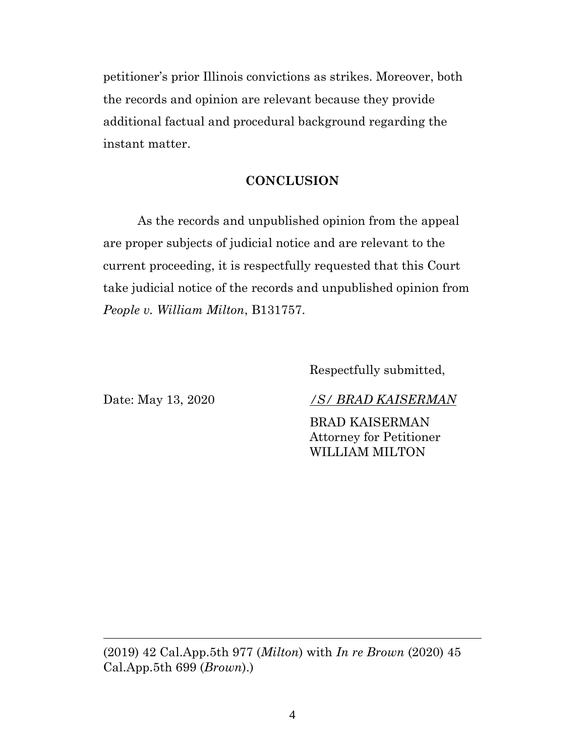petitioner's prior Illinois convictions as strikes. Moreover, both the records and opinion are relevant because they provide additional factual and procedural background regarding the instant matter.

## **CONCLUSION**

As the records and unpublished opinion from the appeal are proper subjects of judicial notice and are relevant to the current proceeding, it is respectfully requested that this Court take judicial notice of the records and unpublished opinion from *People v. William Milton*, B131757.

Respectfully submitted,

Date: May 13, 2020 */S/ BRAD KAISERMAN*

BRAD KAISERMAN Attorney for Petitioner WILLIAM MILTON

(2019) 42 Cal.App.5th 977 (*Milton*) with *In re Brown* (2020) 45 Cal.App.5th 699 (*Brown*).)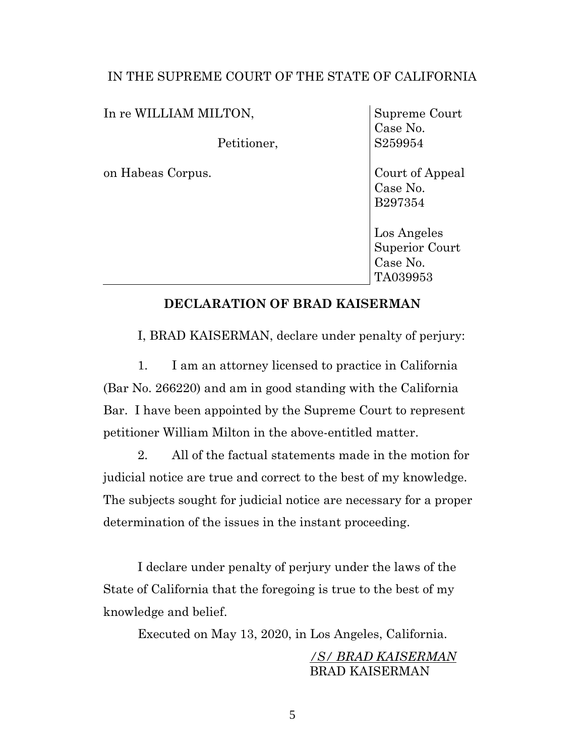In re WILLIAM MILTON,

Petitioner,

on Habeas Corpus.

Supreme Court Case No. S259954

Court of Appeal Case No. B297354

Los Angeles Superior Court Case No. TA039953

## **DECLARATION OF BRAD KAISERMAN**

I, BRAD KAISERMAN, declare under penalty of perjury:

1. I am an attorney licensed to practice in California (Bar No. 266220) and am in good standing with the California Bar. I have been appointed by the Supreme Court to represent petitioner William Milton in the above-entitled matter.

2. All of the factual statements made in the motion for judicial notice are true and correct to the best of my knowledge. The subjects sought for judicial notice are necessary for a proper determination of the issues in the instant proceeding.

I declare under penalty of perjury under the laws of the State of California that the foregoing is true to the best of my knowledge and belief.

Executed on May 13, 2020, in Los Angeles, California.

*/S/ BRAD KAISERMAN* BRAD KAISERMAN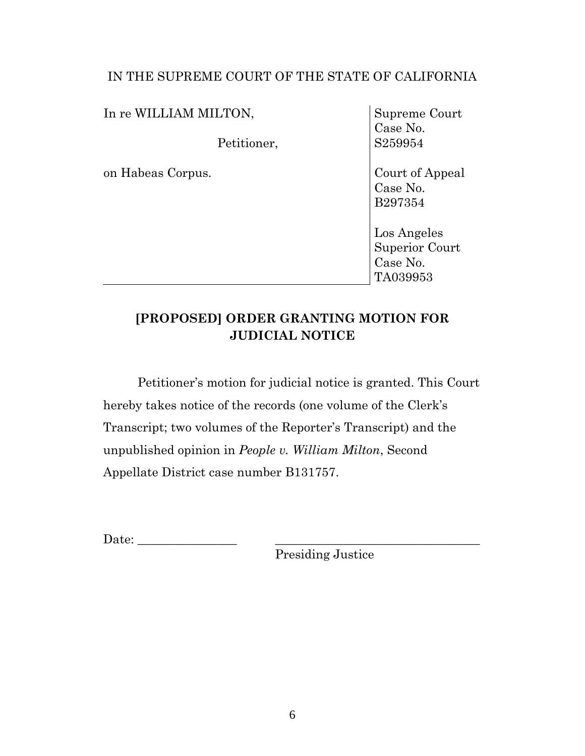In re WILLIAM MILTON,

Petitioner,

on Habeas Corpus.

Supreme Court Case No. S259954

Court of Appeal Case No. B297354

Los Angeles Superior Court Case No. TA039953

# **[PROPOSED] ORDER GRANTING MOTION FOR JUDICIAL NOTICE**

Petitioner's motion for judicial notice is granted. This Court hereby takes notice of the records (one volume of the Clerk's Transcript; two volumes of the Reporter's Transcript) and the unpublished opinion in *People v. William Milton*, Second Appellate District case number B131757.

Date:

Presiding Justice